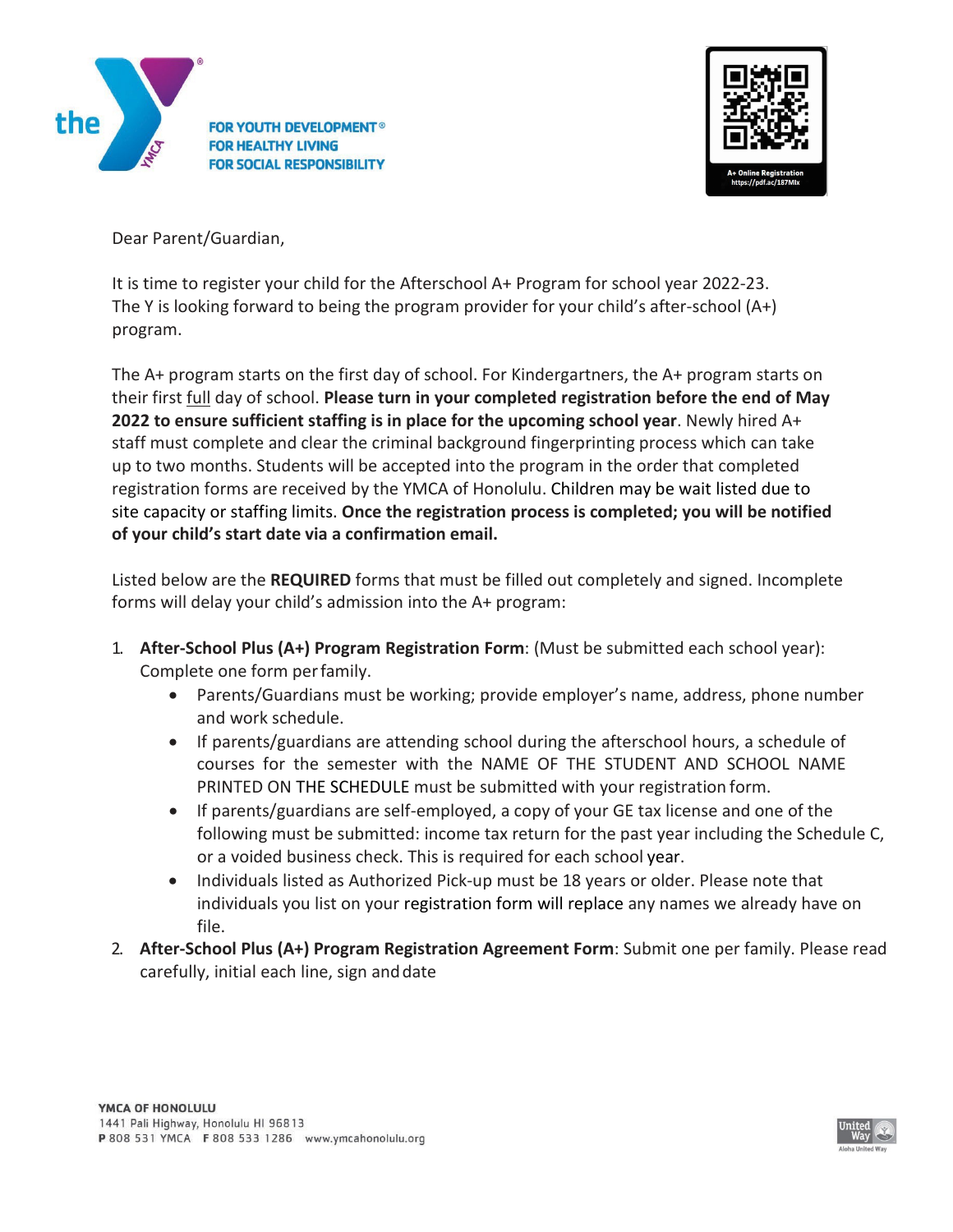



Dear Parent/Guardian,

It is time to register your child for the Afterschool A+ Program for school year 2022-23. The Y is looking forward to being the program provider for your child's after-school (A+) program.

The A+ program starts on the first day of school. For Kindergartners, the A+ program starts on their first full day of school. **Please turn in your completed registration before the end of May 2022 to ensure sufficient staffing is in place for the upcoming school year**. Newly hired A+ staff must complete and clear the criminal background fingerprinting process which can take up to two months. Students will be accepted into the program in the order that completed registration forms are received by the YMCA of Honolulu. Children may be wait listed due to site capacity or staffing limits. **Once the registration process is completed; you will be notified of your child's start date via a confirmation email.**

Listed below are the **REQUIRED** forms that must be filled out completely and signed. Incomplete forms will delay your child's admission into the A+ program:

- 1. **After-School Plus (A+) Program Registration Form**: (Must be submitted each school year): Complete one form perfamily.
	- Parents/Guardians must be working; provide employer's name, address, phone number and work schedule.
	- If parents/guardians are attending school during the afterschool hours, a schedule of courses for the semester with the NAME OF THE STUDENT AND SCHOOL NAME PRINTED ON THE SCHEDULE must be submitted with your registration form.
	- If parents/guardians are self-employed, a copy of your GE tax license and one of the following must be submitted: income tax return for the past year including the Schedule C, or a voided business check. This is required for each school year.
	- Individuals listed as Authorized Pick-up must be 18 years or older. Please note that individuals you list on your registration form will replace any names we already have on file.
- 2. **After-School Plus (A+) Program Registration Agreement Form**: Submit one per family. Please read carefully, initial each line, sign anddate

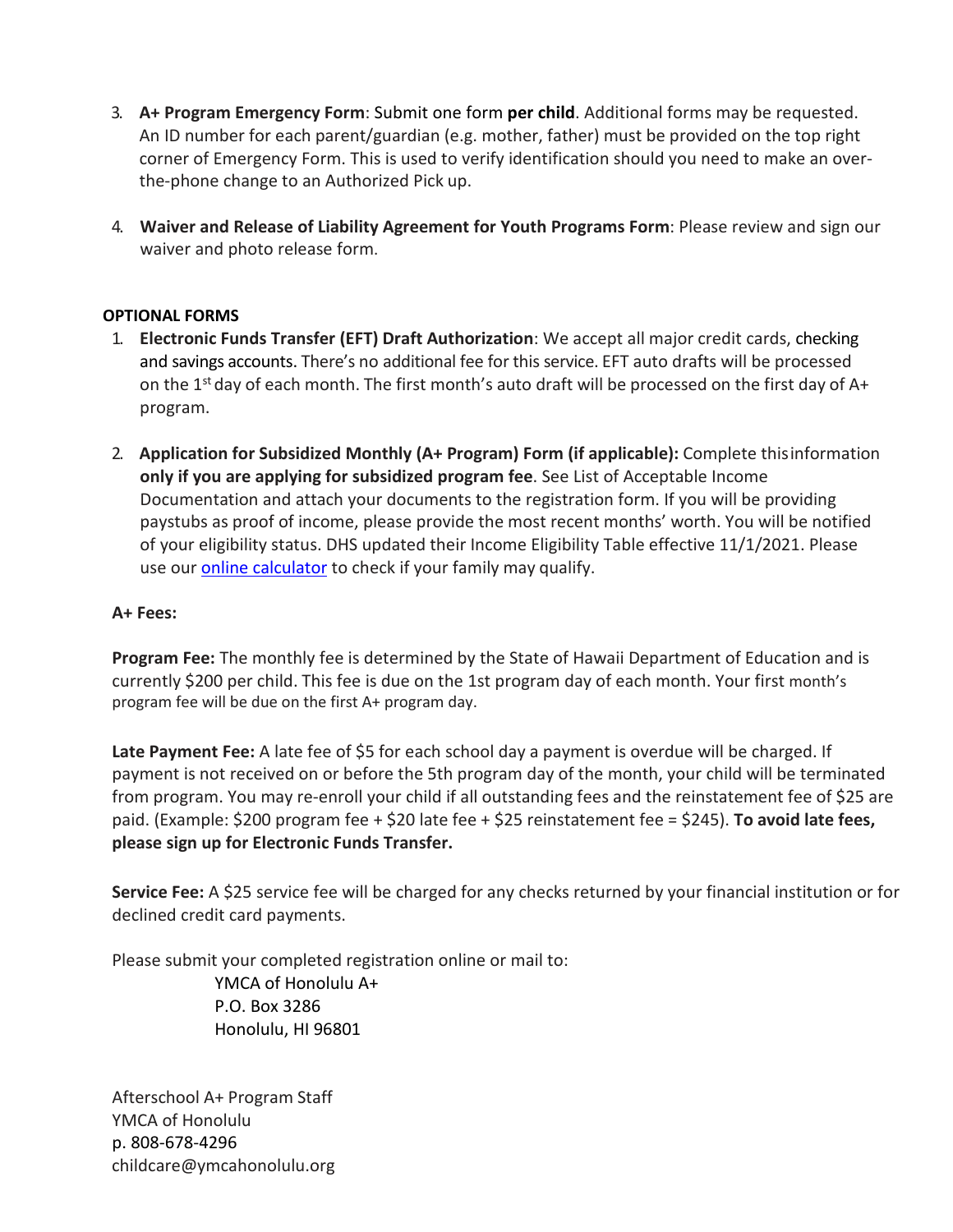- 3. **A+ Program Emergency Form**: Submit one form **per child**. Additional forms may be requested. An ID number for each parent/guardian (e.g. mother, father) must be provided on the top right corner of Emergency Form. This is used to verify identification should you need to make an overthe-phone change to an Authorized Pick up.
- 4. **Waiver and Release of Liability Agreement for Youth Programs Form**: Please review and sign our waiver and photo release form.

## **OPTIONAL FORMS**

- 1. **Electronic Funds Transfer (EFT) Draft Authorization**: We accept all major credit cards, checking and savings accounts. There's no additional fee for this service. EFT auto drafts will be processed on the  $1<sup>st</sup>$  day of each month. The first month's auto draft will be processed on the first day of A+ program.
- 2. **Application for Subsidized Monthly (A+ Program) Form (if applicable):** Complete thisinformation **only if you are applying for subsidized program fee**. See List of Acceptable Income Documentation and attach your documents to the registration form. If you will be providing paystubs as proof of income, please provide the most recent months' worth. You will be notified of your eligibility status. DHS updated their Income Eligibility Table effective 11/1/2021. Please use our **[online calculator](https://www.ymcahonolulu.org/youth-programs/after-school-care)** to check if your family may qualify.

## **A+ Fees:**

**Program Fee:** The monthly fee is determined by the State of Hawaii Department of Education and is currently \$200 per child. This fee is due on the 1st program day of each month. Your first month's program fee will be due on the first A+ program day.

Late Payment Fee: A late fee of \$5 for each school day a payment is overdue will be charged. If payment is not received on or before the 5th program day of the month, your child will be terminated from program. You may re-enroll your child if all outstanding fees and the reinstatement fee of \$25 are paid. (Example: \$200 program fee + \$20 late fee + \$25 reinstatement fee = \$245). **To avoid late fees, please sign up for Electronic Funds Transfer.**

**Service Fee:** A \$25 service fee will be charged for any checks returned by your financial institution or for declined credit card payments.

Please submit your completed registration online or mail to: YMCA of Honolulu A+ P.O. Box 3286

Honolulu, HI 96801

Afterschool A+ Program Staff YMCA of Honolulu p. 808-678-4296 [childcare@ymcahonolulu.org](mailto:childcare@ymcahonolulu.org)